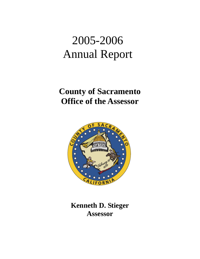# 2005-2006 Annual Report

## **County of Sacramento Office of the Assessor**



**Kenneth D. Stieger Assessor**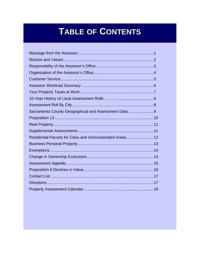## **TABLE OF CONTENTS**

| Sacramento County Geographical and Assessment Data 9      |  |
|-----------------------------------------------------------|--|
|                                                           |  |
|                                                           |  |
|                                                           |  |
| Residential Parcels for Cities and Unincorporated Areas12 |  |
|                                                           |  |
|                                                           |  |
|                                                           |  |
|                                                           |  |
|                                                           |  |
|                                                           |  |
|                                                           |  |
|                                                           |  |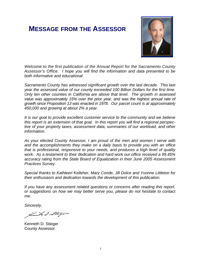## **MESSAGE FROM THE ASSESSOR**



*Welcome to the first publication of the Annual Report for the Sacramento County Assessor's Office. I hope you will find the information and data presented to be both informative and educational.* 

*Sacramento County has witnessed significant growth over the last decade. This last year the assessed value of our county exceeded 100 Billion Dollars for the first time. Only ten other counties in California are above that level. The growth in assessed value was approximately 15% over the prior year, and was the highest annual rate of growth since Proposition 13 was enacted in 1978. Our parcel count is at approximately 450,000 and growing at about 2% a year.* 

*It is our goal to provide excellent customer service to the community and we believe this report is an extension of that goal. In this report you will find a regional perspective of your property taxes, assessment data, summaries of our workload, and other information.* 

*As your elected County Assessor, I am proud of the men and women I serve with and the accomplishments they make on a daily basis to provide you with an office that is professional, responsive to your needs, and produces a high level of quality work. As a testament to their dedication and hard work our office received a 99.45% accuracy rating from the State Board of Equalization in their June 2005 Assessment Practices Survey.* 

*Special thanks to Kathleen Kelleher, Mary Conde, Jill Dolce and Yvonne Littleton for their enthusiasm and dedication towards the development of this publication.* 

*If you have any assessment related questions or concerns after reading this report, or suggestions on how we may better serve you, please do not hesitate to contact me.* 

*Sincerely,* 

and Stuga

Kenneth D. Stieger County Assessor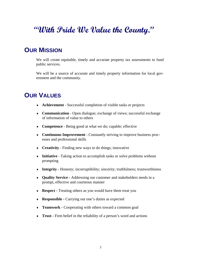## **"With Pride We Value the County."**

## **OUR MISSION**

We will create equitable, timely and accurate property tax assessments to fund public services.

We will be a source of accurate and timely property information for local government and the community.

## **OUR VALUES**

- ♦ **Achievement**  Successful completion of visible tasks or projects
- ♦ **Communication** Open dialogue; exchange of views; successful exchange of information of value to others
- ♦ **Competence**  Being good at what we do; capable; effective
- ♦ **Continuous Improvement**  Constantly striving to improve business processes and professional skills
- ♦ **Creativity** Finding new ways to do things; innovative
- ♦ **Initiative**  Taking action to accomplish tasks or solve problems without prompting
- ♦ **Integrity** Honesty; incorruptibility; sincerity; truthfulness; trustworthiness
- ♦ **Quality Service** Addressing our customer and stakeholders needs in a prompt, effective and courteous manner
- ♦ **Respect** Treating others as you would have them treat you
- ♦ **Responsible** Carrying out one's duties as expected
- ♦ **Teamwork** Cooperating with others toward a common goal
- ♦ **Trust** Firm belief in the reliability of a person's word and actions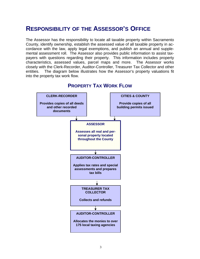## **RESPONSIBILITY OF THE ASSESSOR'S OFFICE**

The Assessor has the responsibility to locate all taxable property within Sacramento County, identify ownership, establish the assessed value of all taxable property in accordance with the law, apply legal exemptions, and publish an annual and supplemental assessment roll. The Assessor also provides public information to assist taxpayers with questions regarding their property. This information includes property characteristics, assessed values, parcel maps and more. The Assessor works closely with the Clerk-Recorder, Auditor-Controller, Treasurer Tax Collector and other entities. The diagram below illustrates how the Assessor's property valuations fit into the property tax work flow.



### **PROPERTY TAX WORK FLOW**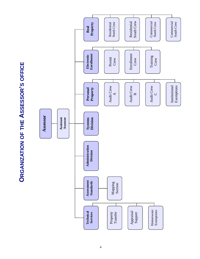**ORGANIZATION OF THE ASSESSOR'S OFFICE ORGANIZATION OF THE ASSESSOR'S OFFICE**

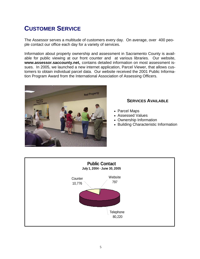## **CUSTOMER SERVICE**

The Assessor serves a multitude of customers every day. On average, over 400 people contact our office each day for a variety of services.

Information about property ownership and assessment in Sacramento County is available for public viewing at our front counter and at various libraries. Our website, **www.assessor.saccounty.net,** contains detailed information on most assessment issues. In 2005, we launched a new internet application, Parcel Viewer, that allows customers to obtain individual parcel data. Our website received the 2001 Public Information Program Award from the International Association of Assessing Officers.



#### **SERVICES AVAILABLE**

- Parcel Maps
- Assessed Values
- Ownership Information
- Building Characteristic Information

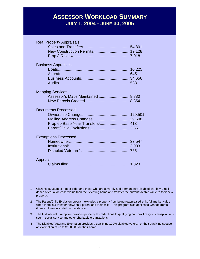## **ASSESSOR WORKLOAD SUMMARY JULY 1, 2004 - JUNE 30, 2005**

| <b>Real Property Appraisals</b>              |  |
|----------------------------------------------|--|
|                                              |  |
|                                              |  |
|                                              |  |
| <b>Business Appraisals</b>                   |  |
|                                              |  |
|                                              |  |
|                                              |  |
|                                              |  |
| <b>Mapping Services</b>                      |  |
| Assessor's Maps Maintained  8,880            |  |
|                                              |  |
| <b>Documents Processed</b>                   |  |
|                                              |  |
| Mailing Address Changes  29,608              |  |
| Prop 60 Base Year Transfers <sup>1</sup> 418 |  |
|                                              |  |
| <b>Exemptions Processed</b>                  |  |
|                                              |  |
|                                              |  |
|                                              |  |
| Appeals                                      |  |
|                                              |  |
|                                              |  |

- 1 Citizens 55 years of age or older and those who are severely and permanently disabled can buy a residence of equal or lesser value than their existing home and transfer the current taxable value to their new property.
- 2 The Parent/Child Exclusion program excludes a property from being reappraised at its full market value when there is a transfer between a parent and their child. This program also applies to Grandparents/ Grandchildren in limited circumstances.
- 3 The Institutional Exemption provides property tax reductions to qualifying non-profit religious, hospital, museum, social service and other charitable organizations.
- 4 The Disabled Veterans Exemption provides a qualifying 100% disabled veteran or their surviving spouse an exemption of up to \$150,000 on their home.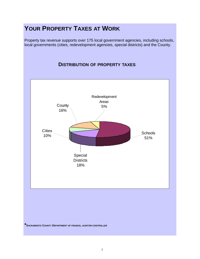## **YOUR PROPERTY TAXES AT WORK**

Property tax revenue supports over 175 local government agencies, including schools, local governments (cities, redevelopment agencies, special districts) and the County.

#### **DISTRIBUTION OF PROPERTY TAXES**

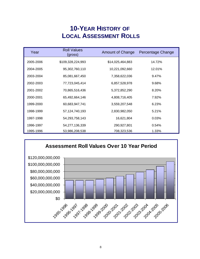## **10-YEAR HISTORY OF LOCAL ASSESSMENT ROLLS**

| Year      | <b>Roll Values</b><br>(gross) | <b>Amount of Change</b> | Percentage Change |
|-----------|-------------------------------|-------------------------|-------------------|
| 2005-2006 | \$109,328,224,993             | \$14,025,464,883        | 14.72%            |
| 2004-2005 | 95,302,760,110                | 10,221,092,660          | 12.01%            |
| 2003-2004 | 85,081,667,450                | 7,358,622,036           | 9.47%             |
| 2002-2003 | 77,723,045,414                | 6,857,528,978           | 9.68%             |
| 2001-2002 | 70,865,516,436                | 5,372,852,290           | 8.20%             |
| 2000-2001 | 65,492,664,146                | 4,808,716,405           | 7.92%             |
| 1999-2000 | 60,683,947,741                | 3,559,207,548           | 6.23%             |
| 1998-1999 | 57,124,740,193                | 2,830,982,050           | 5.21%             |
| 1997-1998 | 54,293,758,143                | 16,621,804              | 0.03%             |
| 1996-1997 | 54,277,136,339                | 290,927,801             | 0.54%             |
| 1995-1996 | 53,986,208,538                | 708,323,536             | 1.33%             |

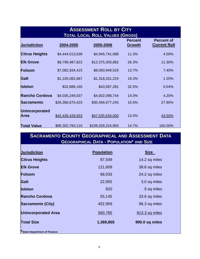# **ASSESSMENT ROLL BY CITY**<br>
TAL LOCAL ROLL VALUES (GROSS Per and S4,945,741,088 54,945,741,088 11<br>
87,822 \$12,375,305,882 26<br>
934,415 \$8,050,949,529 13<br>
888,165 \$4,957,281 32<br>
487,823 \$4,602,098,744 14<br>
675,423 \$47,535,534, **TOTAL LOCAL ROLL VALUES (GROSS) Jurisdiction 2004-2005 2005-2006 Percent Growth Percent of Current Roll Citrus Heights**  $$4,444,013,638$   $$4,945,741,088$  11.3% 4.50% **Elk Grove** \$9,799,487,822 \$12,375,305,882 26.3% 11.30% **Folsom** \$7,082,934,415 \$8,050,949,529 13.7% 7.40% **Galt** \$1,105,082,687 \$1,318,331,224 19.3% 1.20% **Isleton \$32,888,165** \$43,587,281 32.5% 0.04% **Rancho Cordova** \$4,035,249,037 \$4,602,098,744 14.0% 4.20% **Sacramento** \$26,366,675,423 \$30,456,677,245 15.5% 27.90% **Unincorporated Area**  $\frac{$42,436,428,923}{43.50\%}$   $\frac{$47,535,534,000}{43.50\%}$   $\frac{43.50\%}{43.50\%}$ **Total Value** \$95,302,760,110 \$109,328,224,993 14.7% 100.00%

#### **SACRAMENTO COUNTY GEOGRAPHICAL AND ASSESSMENT DATA GEOGRAPHICAL DATA - POPULATION\* AND SIZE**

| <b>Jurisdiction</b>                 | <b>Population</b> | <b>Size</b>    |
|-------------------------------------|-------------------|----------------|
| <b>Citrus Heights</b>               | 87,549            | 14.2 sq miles  |
| <b>Elk Grove</b>                    | 121,609           | 38.6 sq miles  |
| <b>Folsom</b>                       | 68,033            | 24.2 sq miles  |
| Galt                                | 22,955            | 3.0 sq miles   |
| <b>Isleton</b>                      | 820               | .5 sq miles    |
| <b>Rancho Cordova</b>               | 55,145            | 33.6 sq miles  |
| <b>Sacramento (City)</b>            | 452,959           | 96.3 sq miles  |
| <b>Unincorporated Area</b>          | 560,785           | 813.3 sq miles |
| <b>Total Size</b>                   | 1,369,855         | 990.0 sq miles |
| <b>*State Department of Finance</b> |                   |                |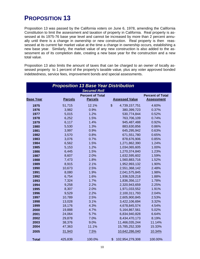## **PROPOSITION 13**

Proposition 13 was passed by the California voters on June 6, 1978, amending the California Constitution to limit the assessment and taxation of property in California. Real property is assessed at its 1975-76 base year level and cannot be increased by more than 2 percent annually until there is a change in ownership or new construction. Real property is then reassessed at its current fair market value at the time a change in ownership occurs, establishing a new base year. Similarly, the market value of any new construction is also added to the assessment as of its completion date, creating a new base year for the construction and a new total value.

Proposition 13 also limits the amount of taxes that can be charged to an owner of locally assessed property to 1 percent of the property's taxable value, plus any voter approved bonded indebtedness, service fees, improvement bonds and special assessments.

|                  |                | <b>Proposition 13 Base Year Distribution</b><br><b>Secured Roll</b> |                                            |                                              |
|------------------|----------------|---------------------------------------------------------------------|--------------------------------------------|----------------------------------------------|
| <b>Base Year</b> | <b>Parcels</b> | <b>Percent of Total</b><br><b>Parcels</b>                           | <b>Assessed Value</b>                      | <b>Percent of Total</b><br><b>Assessment</b> |
| 1975             | 51,715         | 12.1%                                                               | $\boldsymbol{\mathsf{S}}$<br>4,739,157,751 | 4.60%                                        |
| 1976             | 3,982          | 0.9%                                                                | 380,399,723                                | 0.37%                                        |
| 1977             | 5,015          | 1.2%                                                                | 530,774,844                                | 0.52%                                        |
| 1978             | 6,252          | 1.5%                                                                | 763,706,109                                | 0.74%                                        |
| 1979             | 6,117          | 1.4%                                                                | 945,487,488                                | 0.92%                                        |
| 1980             | 5,530          | 1.3%                                                                | 883,630,856                                | 0.86%                                        |
| 1981             | 3,997          | 0.9%                                                                | 645,295,942                                | 0.63%                                        |
| 1982             | 3,570          | 0.8%                                                                | 671,551,780                                | 0.65%                                        |
| 1983             | 3,076          | 0.7%                                                                | 878,676,906                                | 0.85%                                        |
| 1984             | 6,562          | 1.5%                                                                | 1,271,862,390                              | 1.24%                                        |
| 1985             | 5,153          | 1.2%                                                                | 1,034,065,605                              | 1.00%                                        |
| 1986             | 6,445          | 1.5%                                                                | 1,270,374,840                              | 1.23%                                        |
| 1987             | 8,607          | 2.0%                                                                | 1,632,595,602                              | 1.59%                                        |
| 1988             | 7,473          | 1.8%                                                                | 1,560,883,716                              | 1.52%                                        |
| 1989             | 8,915          | 2.1%                                                                | 1,952,993,132                              | 1.90%                                        |
| 1990             | 10,673         | 2.5%                                                                | 2,551,368,142                              | 2.48%                                        |
| 1991             | 8,080          | 1.9%                                                                | 2,041,575,845                              | 1.98%                                        |
| 1992             | 6,754          | 1.6%                                                                | 1,936,528,218                              | 1.88%                                        |
| 1993             | 7,324          | 1.7%                                                                | 1,836,356,117                              | 1.78%                                        |
| 1994             | 9,258          | 2.2%                                                                | 2,320,943,659                              | 2.25%                                        |
| 1995             | 8,307          | 2.0%                                                                | 1,971,033,552                              | 1.91%                                        |
| 1996             | 9,529          | 2.2%                                                                | 2,100,311,793                              | 2.04%                                        |
| 1997             | 10,789         | 2.5%                                                                | 2,605,900,845                              | 2.53%                                        |
| 1998             | 13,028         | 3.1%                                                                | 3,422,106,694                              | 3.32%                                        |
| 1999             | 18,176         | 4.3%                                                                | 4,678,845,574                              | 4.54%                                        |
| 2000             | 19,888         | 4.7%                                                                | 5,164,867,561                              | 5.02%                                        |
| 2001             | 24,064         | 5.7%                                                                | 6,834,940,828                              | 6.64%                                        |
| 2002             | 29,878         | 7.0%                                                                | 8,434,470,173                              | 8.19%                                        |
| 2003             | 38,376         | 9.0%                                                                | 11,466,035,244                             | 11.14%                                       |
| 2004             | 47,363         | 11.1%                                                               | 15,785,252,339                             | 15.33%                                       |
| 2005             | 31,943         | 7.5%                                                                | 10,642,286,040                             | 10.34%                                       |
| <b>Total</b>     | 425,839        | 100.0%                                                              | \$<br>102,954,279,308                      | 100.00%                                      |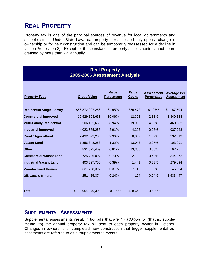## **REAL PROPERTY**

Property tax is one of the principal sources of revenue for local governments and school districts. Under State Law, real property is reassessed only upon a change in ownership or for new construction and can be temporarily reassessed for a decline in value (Proposition 8). Except for these instances, property assessments cannot be increased by more than 2% annually.

#### **Real Property 2005-2006 Assessment Analysis**

| <b>Property Type</b>             | <b>Gross Value</b> | Value<br><b>Percentage</b> | <b>Parcel</b><br><b>Count</b> | <b>Assessment</b><br><b>Percentage</b> | <b>Average Per</b><br><b>Assessment</b> |
|----------------------------------|--------------------|----------------------------|-------------------------------|----------------------------------------|-----------------------------------------|
| <b>Residential Single Family</b> | \$66,872,007,256   | 64.95%                     | 356,472                       | 81.27%                                 | $\mathfrak{S}$<br>187,594               |
| <b>Commercial Improved</b>       | 16,529,803,633     | 16.06%                     | 12,328                        | 2.81%                                  | 1,340,834                               |
| <b>Multi-Family Residential</b>  | 9,206,182,656      | 8.94%                      | 19,986                        | 4.56%                                  | 460,632                                 |
| <b>Industrial Improved</b>       | 4,023,585,258      | 3.91%                      | 4,293                         | 0.98%                                  | 937,243                                 |
| <b>Rural / Agricultural</b>      | 2,432,399,285      | 2.36%                      | 8,307                         | 1.89%                                  | 292,813                                 |
| <b>Vacant Land</b>               | 1,356,348,283      | 1.32%                      | 13,043                        | 2.97%                                  | 103,991                                 |
| <b>Other</b>                     | 831,675,409        | 0.81%                      | 13,360                        | 3.05%                                  | 62,251                                  |
| <b>Commercial Vacant Land</b>    | 725,726,007        | 0.70%                      | 2,108                         | 0.48%                                  | 344,272                                 |
| <b>Industrial Vacant Land</b>    | 403,327,750        | 0.39%                      | 1,441                         | 0.33%                                  | 279,894                                 |
| <b>Manufactured Homes</b>        | 321,738,397        | 0.31%                      | 7,146                         | 1.63%                                  | 45,024                                  |
| Oil, Gas, & Mineral              | 251,485,374        | 0.24%                      | <u>164</u>                    | 0.04%                                  | 1,533,447                               |
| Total                            | \$102.954.279.308  | 100.00%                    | 438,648                       | 100.00%                                |                                         |

#### **SUPPLEMENTAL ASSESSMENTS**

Supplemental assessments result in tax bills that are *"in addition to*" (that is, supplemental to) the annual property tax bill sent to each property owner in October. Changes in ownership or completed new construction that trigger supplemental assessments are referred to as a "supplemental" events.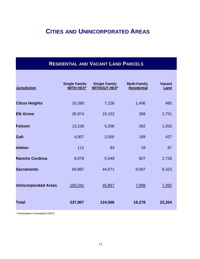## **CITIES AND UNINCORPORATED AREAS**

## **RESIDENTIAL AND VACANT LAND PARCELS**

| <b>Jurisdiction</b>         | <b>Single Family</b><br><b>WITH HEX*</b> | <b>Single Family</b><br><b>WITHOUT HEX*</b> | <b>Multi-Family</b><br><b>Residential</b> | <b>Vacant</b><br>Land |
|-----------------------------|------------------------------------------|---------------------------------------------|-------------------------------------------|-----------------------|
| <b>Citrus Heights</b>       | 15,260                                   | 7,128                                       | 1,406                                     | 465                   |
| <b>Elk Grove</b>            | 26,974                                   | 15,152                                      | 289                                       | 2,751                 |
| <b>Folsom</b>               | 13,239                                   | 5,206                                       | 262                                       | 1,933                 |
| <b>Galt</b>                 | 4,007                                    | 2,000                                       | 189                                       | 427                   |
| <b>Isleton</b>              | 111                                      | 93                                          | 19                                        | 87                    |
| <b>Rancho Cordova</b>       | 8,078                                    | 5,049                                       | 927                                       | 2,726                 |
| <b>Sacramento</b>           | 69,897                                   | 44,071                                      | 8,097                                     | 6,323                 |
| <b>Unincorporated Areas</b> | 100,241                                  | 45,867                                      | 7,089                                     | 7,492                 |
| <b>Total</b>                | 237,807                                  | 124,566                                     | 18,278                                    | 22,204                |

\* Homeowner's Exemption (HEX)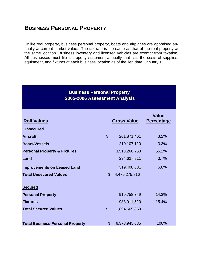## **BUSINESS PERSONAL PROPERTY**

Unlike real property, business personal property, boats and airplanes are appraised annually at current market value. The tax rate is the same as that of the real property at the same location. Business inventory and licensed vehicles are exempt from taxation. All businesses must file a property statement annually that lists the costs of supplies, equipment, and fixtures at each business location as of the lien date, January 1.

#### **Business Personal Property 2005-2006 Assessment Analysis**

| <b>Roll Values</b>                      |                           | <b>Gross Value</b> | <b>Value</b><br><b>Percentage</b> |
|-----------------------------------------|---------------------------|--------------------|-----------------------------------|
| <b>Unsecured</b>                        |                           |                    |                                   |
| <b>Aircraft</b>                         | $\mathfrak{S}$            | 201,871,461        | 3.2%                              |
| <b>Boats/Vessels</b>                    |                           | 210,107,110        | 3.3%                              |
| <b>Personal Property &amp; Fixtures</b> |                           | 3,513,260,753      | 55.1%                             |
| Land                                    |                           | 234,627,811        | 3.7%                              |
| <b>Improvements on Leased Land</b>      |                           | 319,408,681        | 5.0%                              |
| <b>Total Unsecured Values</b>           | $\mathbb{S}$              | 4,479,275,816      |                                   |
| <b>Secured</b>                          |                           |                    |                                   |
| <b>Personal Property</b>                |                           | 910,758,349        | 14.3%                             |
| <b>Fixtures</b>                         |                           | 983,911,520        | 15.4%                             |
| <b>Total Secured Values</b>             | $\boldsymbol{\mathsf{S}}$ | 1,894,669,869      |                                   |
| <b>Total Business Personal Property</b> | $\mathbb{S}$              | 6,373,945,685      | 100%                              |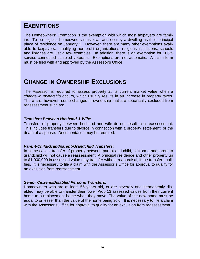## **EXEMPTIONS**

The Homeowners' Exemption is the exemption with which most taxpayers are familiar. To be eligible, homeowners must own and occupy a dwelling as their principal place of residence on January 1. However, there are many other exemptions available to taxpayers: qualifying non-profit organizations, religious institutions, schools and libraries are just a few examples. In addition, there is an exemption for 100% service connected disabled veterans. Exemptions are not automatic. A claim form must be filed with and approved by the Assessor's Office.

## **CHANGE IN OWNERSHIP EXCLUSIONS**

The Assessor is required to assess property at its current market value when a *change in ownership* occurs, which usually results in an increase in property taxes. There are, however, some changes in ownership that are specifically excluded from reassessment such as:

#### *Transfers Between Husband & Wife***:**

Transfers of property between husband and wife do not result in a reassessment. This includes transfers due to divorce in connection with a property settlement, or the death of a spouse. Documentation may be required.

#### *Parent-Child/Grandparent-Grandchild Transfers:*

In some cases, transfer of property between parent and child, or from grandparent to grandchild will not cause a reassessment. A principal residence and other property up to \$1,000,000 in assessed value may transfer without reappraisal, if the transfer qualifies. It is necessary to file a claim with the Assessor's Office for approval to qualify for an exclusion from reassessment.

#### *Senior Citizens/Disabled Persons Transfers:*

Homeowners who are at least 55 years old, or are severely and permanently disabled, may be able to transfer their lower Prop 13 assessed values from their current home to a replacement home when they move. The value of the new home must be equal to or lesser than the value of the home being sold. It is necessary to file a claim with the Assessor's Office for approval to qualify for an exclusion from reassessment.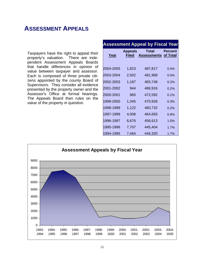## **ASSESSMENT APPEALS**

Taxpayers have the right to appeal their property's valuation. There are independent Assessment Appeals Boards that handle differences in opinion of value between taxpayer and assessor. Each is composed of three private citizens appointed by the county Board of Supervisors. They consider all evidence presented by the property owner and the Assessor's Office at formal hearings. The Appeals Board then rules on the value of the property in question.

|             |                                | <b>Assessment Appeal by Fiscal Year</b> |                            |
|-------------|--------------------------------|-----------------------------------------|----------------------------|
| <u>Year</u> | <b>Appeals</b><br><b>Filed</b> | Total<br><b>Assessments</b>             | Percent<br><u>of Total</u> |
| 2004-2005   | 1,823                          | 487,817                                 | 0.4%                       |
| 2003-2004   | 2,502                          | 481,968                                 | 0.5%                       |
| 2002-2003   | 1,187                          | 483,748                                 | 0.2%                       |
| 2001-2002   | 944                            | 486,916                                 | 0.2%                       |
| 2000-2001   | 965                            | 472,592                                 | 0.1%                       |
| 1999-2000   | 1,345                          | 470,928                                 | 0.3%                       |
| 1998-1999   | 1,122                          | 460,732                                 | 0.2%                       |
| 1997-1998   | 4,008                          | 464,693                                 | 0.9%                       |
| 1996-1997   | 6,676                          | 456,613                                 | 1.5%                       |
| 1995-1996   | 7,707                          | 445,404                                 | 1.7%                       |
| 1994-1995   | 7,464                          | 446,320                                 | 1.7%                       |

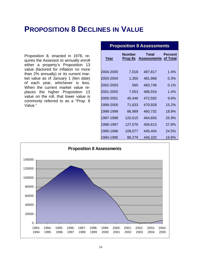## **PROPOSITION 8 DECLINES IN VALUE**

Proposition 8, enacted in 1978, requires the Assessor to annually enroll either a property's Proposition 13 value (factored for inflation no more than 2% annually) or its current market value as of January 1 (lien date) of each year, whichever is less. When the current market value replaces the higher Proposition 13 value on the roll, that lower value is commonly referred to as a "Prop. 8 Value."

| <b>Proposition 8 Assessments</b> |                          |                             |                            |
|----------------------------------|--------------------------|-----------------------------|----------------------------|
| <u>Year</u>                      | Number<br><b>Prop 8s</b> | Total<br><b>Assessments</b> | <b>Percent</b><br>of Total |
| 2004-2005                        | 7,018                    | 487,817                     | 1.4%                       |
| 2003-2004                        | 1,350                    | 481,968                     | 0.3%                       |
| 2002-2003                        | 565                      | 483,748                     | 0.1%                       |
| 2001-2002                        | 7,053                    | 486,916                     | $1.4\%$                    |
| 2000-2001                        | 45,446                   | 472,592                     | 9.6%                       |
| 1999-2000                        | 71,633                   | 470,928                     | 15.2%                      |
| 1998-1999                        | 86,989                   | 460,732                     | 18.9%                      |
| 1997-1998                        | 120,515                  | 464,693                     | 25.9%                      |
| 1996-1997                        | 127,076                  | 456,613                     | 27.8%                      |
| 1995-1996                        | 109,077                  | 445,404                     | 24.5%                      |
| 1994-1995                        | 88,279                   | 446,320                     | 19.8%                      |

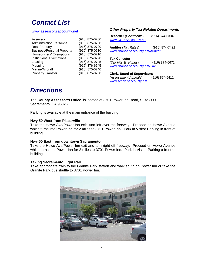## *Contact List*

#### www.assessor.saccounty.net

#### Assessor (916) 875-0700 Administration/Personnel (916) 875-0760 Real Property (916) 875-0700 Business/Personal Property (916) 875-0730 Homeowners' Exemptions (916) 875-0710 Institutional Exemptions (916) 875-0720 Leasing (916) 875-0745 Mapping (916) 876-6745 Marine/Aircraft (916) 875-0740 Property Transfer (916) 875-0750

#### *Other Property Tax Related Departments*

| <b>Recorder</b> (Documents)<br>www.CCR.Saccounty.net | (916) 874-6334 |
|------------------------------------------------------|----------------|
| <b>Auditor</b> (Tax Rates)                           | (916) 874-7422 |
| www.finance.saccounty.net/Auditor                    |                |
| <b>Tax Collector</b>                                 |                |
| (Tax bills & refunds)                                | (916) 874-6672 |
| www.finance.saccounty.net/Tax                        |                |
| <b>Clerk, Board of Supervisors</b>                   |                |
| (Assessment Appeals)                                 | (916) 874-5411 |
| www.sccob.saccounty.net                              |                |

## *Directions*

The **County Assessor's Office** is located at 3701 Power Inn Road, Suite 3000, Sacramento, CA 95826.

Parking is available at the main entrance of the building.

#### **Hwy 50 West from Placerville**

Take the Howe Ave/Power Inn exit, turn left over the freeway. Proceed on Howe Avenue which turns into Power Inn for 2 miles to 3701 Power Inn. Park in Visitor Parking in front of building.

#### **Hwy 50 East from downtown Sacramento**

Take the Howe Ave/Power Inn exit and turn right off freeway. Proceed on Howe Avenue which turns into Power Inn for 2 miles to 3701 Power Inn. Park in Visitor Parking a front of building.

#### **Taking Sacramento Light Rail**

Take appropriate train to the Granite Park station and walk south on Power Inn or take the Granite Park bus shuttle to 3701 Power Inn.

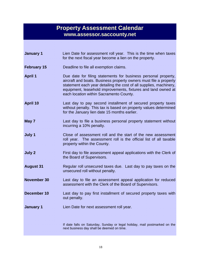## **Property Assessment Calendar www.assessor.saccounty.net**

| <b>January 1</b>   | Lien Date for assessment roll year. This is the time when taxes<br>for the next fiscal year become a lien on the property.                                                                                                                                                                                            |
|--------------------|-----------------------------------------------------------------------------------------------------------------------------------------------------------------------------------------------------------------------------------------------------------------------------------------------------------------------|
| <b>February 15</b> | Deadline to file all exemption claims.                                                                                                                                                                                                                                                                                |
| <b>April 1</b>     | Due date for filing statements for business personal property,<br>aircraft and boats. Business property owners must file a property<br>statement each year detailing the cost of all supplies, machinery,<br>equipment, leasehold improvements, fixtures and land owned at<br>each location within Sacramento County. |
| <b>April 10</b>    | Last day to pay second installment of secured property taxes<br>without penalty. This tax is based on property values determined<br>for the January lien date 15 months earlier.                                                                                                                                      |
| May 7              | Last day to file a business personal property statement without<br>incurring a 10% penalty.                                                                                                                                                                                                                           |
| July 1             | Close of assessment roll and the start of the new assessment<br>roll year. The assessment roll is the official list of all taxable<br>property within the County.                                                                                                                                                     |
| <b>July 2</b>      | First day to file assessment appeal applications with the Clerk of<br>the Board of Supervisors.                                                                                                                                                                                                                       |
| <b>August 31</b>   | Regular roll unsecured taxes due. Last day to pay taxes on the<br>unsecured roll without penalty.                                                                                                                                                                                                                     |
| <b>November 30</b> | Last day to file an assessment appeal application for reduced<br>assessment with the Clerk of the Board of Supervisors.                                                                                                                                                                                               |
| December 10        | Last day to pay first installment of secured property taxes with<br>out penalty.                                                                                                                                                                                                                                      |
| <b>January 1</b>   | Lien Date for next assessment roll year.                                                                                                                                                                                                                                                                              |
|                    | If date falls on Saturday, Sunday or legal holiday, mail postmarked on the<br>next business day shall be deemed on time.                                                                                                                                                                                              |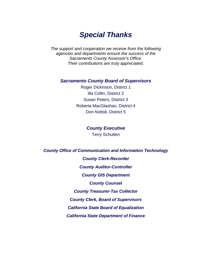## *Special Thanks*

*The support and cooperation we receive from the following agencies and departments ensure the success of the Sacramento County Assessor's Office. Their contributions are truly appreciated.* 

#### *Sacramento County Board of Supervisors*

Roger Dickinson, District 1 Illa Collin, District 2 Susan Peters, District 3 Roberta MacGlashan, District 4 Don Nottoli, District 5

> *County Executive*  Terry Schutten

*County Office of Communication and Information Technology* 

*County Clerk-Recorder County Auditor-Controller County GIS Department County Counsel County Treasurer-Tax Collector County Clerk, Board of Supervisors California State Board of Equalization California State Department of Finance*